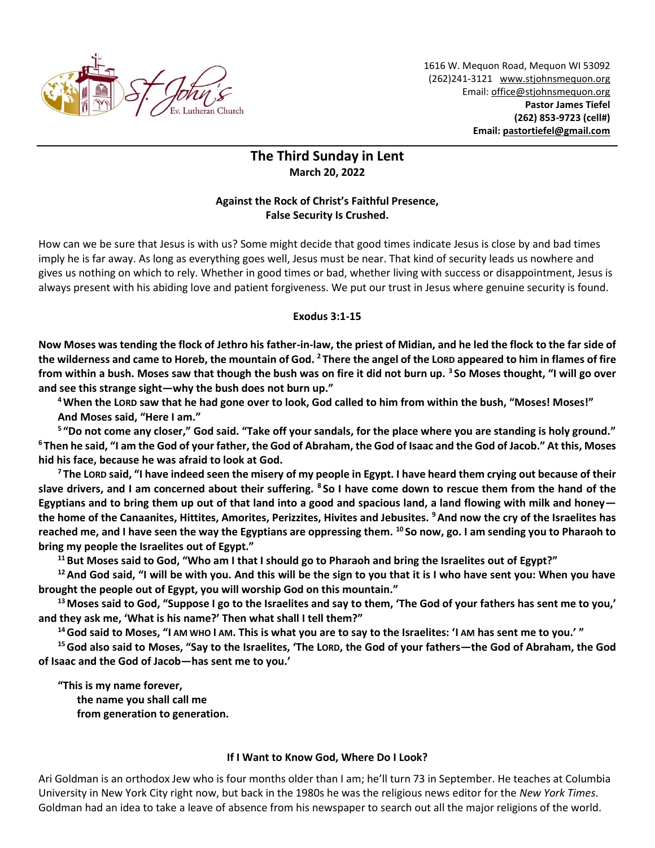

1616 W. Mequon Road, Mequon WI 53092 (262)241-3121 [www.stjohnsmequon.org](http://www.stjohnsmequon.org/) Email[: office@stjohnsmequon.org](mailto:office@stjohnsmequon.org) **Pastor James Tiefel (262) 853-9723 (cell#) Email: [pastortiefel@gmail.com](mailto:pastortiefel@gmail.com)**

## **The Third Sunday in Lent March 20, 2022**

## **Against the Rock of Christ's Faithful Presence, False Security Is Crushed.**

How can we be sure that Jesus is with us? Some might decide that good times indicate Jesus is close by and bad times imply he is far away. As long as everything goes well, Jesus must be near. That kind of security leads us nowhere and gives us nothing on which to rely. Whether in good times or bad, whether living with success or disappointment, Jesus is always present with his abiding love and patient forgiveness. We put our trust in Jesus where genuine security is found.

## **Exodus 3:1-15**

**Now Moses was tending the flock of Jethro his father-in-law, the priest of Midian, and he led the flock to the far side of the wilderness and came to Horeb, the mountain of God. <sup>2</sup> There the angel of the LORD appeared to him in flames of fire from within a bush. Moses saw that though the bush was on fire it did not burn up. <sup>3</sup> So Moses thought, "I will go over and see this strange sight—why the bush does not burn up."** 

**<sup>4</sup>When the LORD saw that he had gone over to look, God called to him from within the bush, "Moses! Moses!" And Moses said, "Here I am."** 

**5 "Do not come any closer," God said. "Take off your sandals, for the place where you are standing is holy ground." <sup>6</sup> Then he said, "I am the God of your father, the God of Abraham, the God of Isaac and the God of Jacob." At this, Moses hid his face, because he was afraid to look at God.** 

**<sup>7</sup> The LORD said, "I have indeed seen the misery of my people in Egypt. I have heard them crying out because of their slave drivers, and I am concerned about their suffering. <sup>8</sup> So I have come down to rescue them from the hand of the Egyptians and to bring them up out of that land into a good and spacious land, a land flowing with milk and honey the home of the Canaanites, Hittites, Amorites, Perizzites, Hivites and Jebusites. <sup>9</sup>And now the cry of the Israelites has reached me, and I have seen the way the Egyptians are oppressing them. <sup>10</sup> So now, go. I am sending you to Pharaoh to bring my people the Israelites out of Egypt."** 

**<sup>11</sup>But Moses said to God, "Who am I that I should go to Pharaoh and bring the Israelites out of Egypt?"**

**<sup>12</sup>And God said, "I will be with you. And this will be the sign to you that it is I who have sent you: When you have brought the people out of Egypt, you will worship God on this mountain."** 

**<sup>13</sup>Moses said to God, "Suppose I go to the Israelites and say to them, 'The God of your fathers has sent me to you,' and they ask me, 'What is his name?' Then what shall I tell them?"** 

**<sup>14</sup>God said to Moses, "I AM WHO I AM. This is what you are to say to the Israelites: 'I AM has sent me to you.' "** 

**<sup>15</sup>God also said to Moses, "Say to the Israelites, 'The LORD, the God of your fathers—the God of Abraham, the God of Isaac and the God of Jacob—has sent me to you.'** 

**"This is my name forever, the name you shall call me** 

**from generation to generation.**

## **If I Want to Know God, Where Do I Look?**

Ari Goldman is an orthodox Jew who is four months older than I am; he'll turn 73 in September. He teaches at Columbia University in New York City right now, but back in the 1980s he was the religious news editor for the *New York Times*. Goldman had an idea to take a leave of absence from his newspaper to search out all the major religions of the world.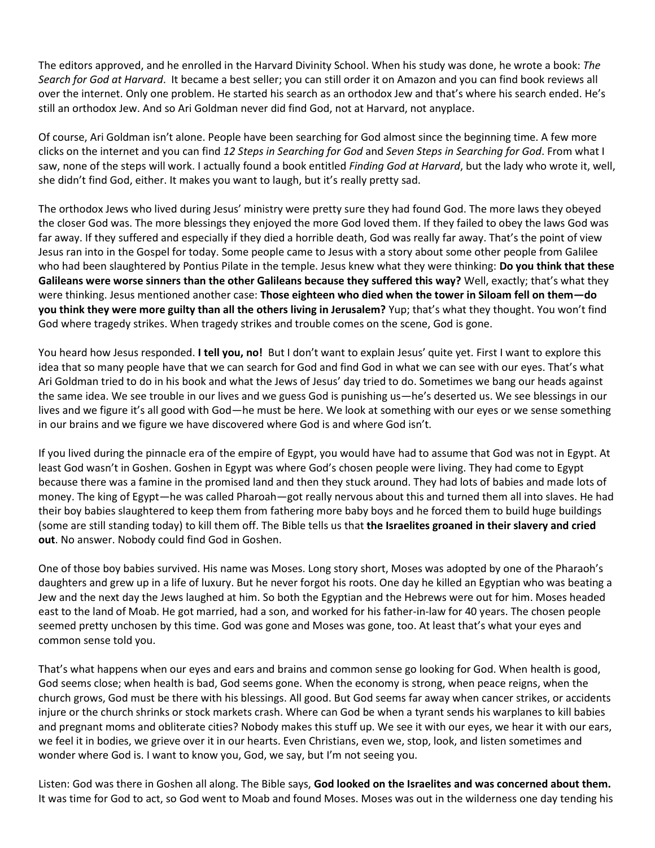The editors approved, and he enrolled in the Harvard Divinity School. When his study was done, he wrote a book: *The Search for God at Harvard*. It became a best seller; you can still order it on Amazon and you can find book reviews all over the internet. Only one problem. He started his search as an orthodox Jew and that's where his search ended. He's still an orthodox Jew. And so Ari Goldman never did find God, not at Harvard, not anyplace.

Of course, Ari Goldman isn't alone. People have been searching for God almost since the beginning time. A few more clicks on the internet and you can find *12 Steps in Searching for God* and *Seven Steps in Searching for God*. From what I saw, none of the steps will work. I actually found a book entitled *Finding God at Harvard*, but the lady who wrote it, well, she didn't find God, either. It makes you want to laugh, but it's really pretty sad.

The orthodox Jews who lived during Jesus' ministry were pretty sure they had found God. The more laws they obeyed the closer God was. The more blessings they enjoyed the more God loved them. If they failed to obey the laws God was far away. If they suffered and especially if they died a horrible death, God was really far away. That's the point of view Jesus ran into in the Gospel for today. Some people came to Jesus with a story about some other people from Galilee who had been slaughtered by Pontius Pilate in the temple. Jesus knew what they were thinking: **Do you think that these Galileans were worse sinners than the other Galileans because they suffered this way?** Well, exactly; that's what they were thinking. Jesus mentioned another case: **Those eighteen who died when the tower in Siloam fell on them—do you think they were more guilty than all the others living in Jerusalem?** Yup; that's what they thought. You won't find God where tragedy strikes. When tragedy strikes and trouble comes on the scene, God is gone.

You heard how Jesus responded. **I tell you, no!** But I don't want to explain Jesus' quite yet. First I want to explore this idea that so many people have that we can search for God and find God in what we can see with our eyes. That's what Ari Goldman tried to do in his book and what the Jews of Jesus' day tried to do. Sometimes we bang our heads against the same idea. We see trouble in our lives and we guess God is punishing us—he's deserted us. We see blessings in our lives and we figure it's all good with God—he must be here. We look at something with our eyes or we sense something in our brains and we figure we have discovered where God is and where God isn't.

If you lived during the pinnacle era of the empire of Egypt, you would have had to assume that God was not in Egypt. At least God wasn't in Goshen. Goshen in Egypt was where God's chosen people were living. They had come to Egypt because there was a famine in the promised land and then they stuck around. They had lots of babies and made lots of money. The king of Egypt—he was called Pharoah—got really nervous about this and turned them all into slaves. He had their boy babies slaughtered to keep them from fathering more baby boys and he forced them to build huge buildings (some are still standing today) to kill them off. The Bible tells us that **the Israelites groaned in their slavery and cried out**. No answer. Nobody could find God in Goshen.

One of those boy babies survived. His name was Moses. Long story short, Moses was adopted by one of the Pharaoh's daughters and grew up in a life of luxury. But he never forgot his roots. One day he killed an Egyptian who was beating a Jew and the next day the Jews laughed at him. So both the Egyptian and the Hebrews were out for him. Moses headed east to the land of Moab. He got married, had a son, and worked for his father-in-law for 40 years. The chosen people seemed pretty unchosen by this time. God was gone and Moses was gone, too. At least that's what your eyes and common sense told you.

That's what happens when our eyes and ears and brains and common sense go looking for God. When health is good, God seems close; when health is bad, God seems gone. When the economy is strong, when peace reigns, when the church grows, God must be there with his blessings. All good. But God seems far away when cancer strikes, or accidents injure or the church shrinks or stock markets crash. Where can God be when a tyrant sends his warplanes to kill babies and pregnant moms and obliterate cities? Nobody makes this stuff up. We see it with our eyes, we hear it with our ears, we feel it in bodies, we grieve over it in our hearts. Even Christians, even we, stop, look, and listen sometimes and wonder where God is. I want to know you, God, we say, but I'm not seeing you.

Listen: God was there in Goshen all along. The Bible says, **God looked on the Israelites and was concerned about them.** It was time for God to act, so God went to Moab and found Moses. Moses was out in the wilderness one day tending his